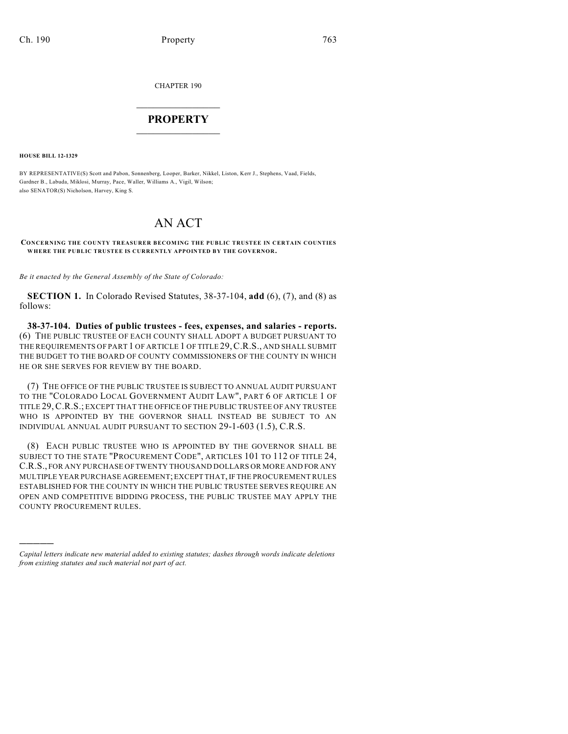CHAPTER 190

## $\overline{\phantom{a}}$  . The set of the set of the set of the set of the set of the set of the set of the set of the set of the set of the set of the set of the set of the set of the set of the set of the set of the set of the set o **PROPERTY**  $\_$   $\_$   $\_$   $\_$   $\_$   $\_$   $\_$   $\_$   $\_$

**HOUSE BILL 12-1329**

)))))

BY REPRESENTATIVE(S) Scott and Pabon, Sonnenberg, Looper, Barker, Nikkel, Liston, Kerr J., Stephens, Vaad, Fields, Gardner B., Labuda, Miklosi, Murray, Pace, Waller, Williams A., Vigil, Wilson; also SENATOR(S) Nicholson, Harvey, King S.

## AN ACT

**CONCERNING THE COUNTY TREASURER BECOMING THE PUBLIC TRUSTEE IN CERTAIN COUNTIES WHERE THE PUBLIC TRUSTEE IS CURRENTLY APPOINTED BY THE GOVERNOR.**

*Be it enacted by the General Assembly of the State of Colorado:*

**SECTION 1.** In Colorado Revised Statutes, 38-37-104, **add** (6), (7), and (8) as follows:

**38-37-104. Duties of public trustees - fees, expenses, and salaries - reports.** (6) THE PUBLIC TRUSTEE OF EACH COUNTY SHALL ADOPT A BUDGET PURSUANT TO THE REQUIREMENTS OF PART 1 OF ARTICLE 1 OF TITLE 29,C.R.S., AND SHALL SUBMIT THE BUDGET TO THE BOARD OF COUNTY COMMISSIONERS OF THE COUNTY IN WHICH HE OR SHE SERVES FOR REVIEW BY THE BOARD.

(7) THE OFFICE OF THE PUBLIC TRUSTEE IS SUBJECT TO ANNUAL AUDIT PURSUANT TO THE "COLORADO LOCAL GOVERNMENT AUDIT LAW", PART 6 OF ARTICLE 1 OF TITLE 29,C.R.S.; EXCEPT THAT THE OFFICE OF THE PUBLIC TRUSTEE OF ANY TRUSTEE WHO IS APPOINTED BY THE GOVERNOR SHALL INSTEAD BE SUBJECT TO AN INDIVIDUAL ANNUAL AUDIT PURSUANT TO SECTION 29-1-603 (1.5), C.R.S.

(8) EACH PUBLIC TRUSTEE WHO IS APPOINTED BY THE GOVERNOR SHALL BE SUBJECT TO THE STATE "PROCUREMENT CODE", ARTICLES 101 TO 112 OF TITLE 24, C.R.S., FOR ANY PURCHASE OF TWENTY THOUSAND DOLLARS OR MORE AND FOR ANY MULTIPLE YEAR PURCHASE AGREEMENT; EXCEPT THAT, IF THE PROCUREMENT RULES ESTABLISHED FOR THE COUNTY IN WHICH THE PUBLIC TRUSTEE SERVES REQUIRE AN OPEN AND COMPETITIVE BIDDING PROCESS, THE PUBLIC TRUSTEE MAY APPLY THE COUNTY PROCUREMENT RULES.

*Capital letters indicate new material added to existing statutes; dashes through words indicate deletions from existing statutes and such material not part of act.*